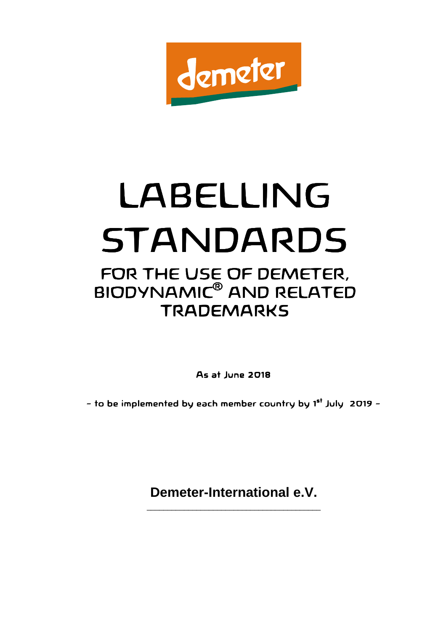

# LABELLING STANDARDS FOR THE USE OF DEMETER, BIODYNAMIC® AND RELATED **TRADEMARKS**

**As at June 2018** 

- to be implemented by each member country by 1<sup>st</sup> July 2019 -

**Demeter-International e.V.**  \_\_\_\_\_\_\_\_\_\_\_\_\_\_\_\_\_\_\_\_\_\_\_\_\_\_\_\_\_\_\_\_\_\_\_\_\_\_\_\_\_\_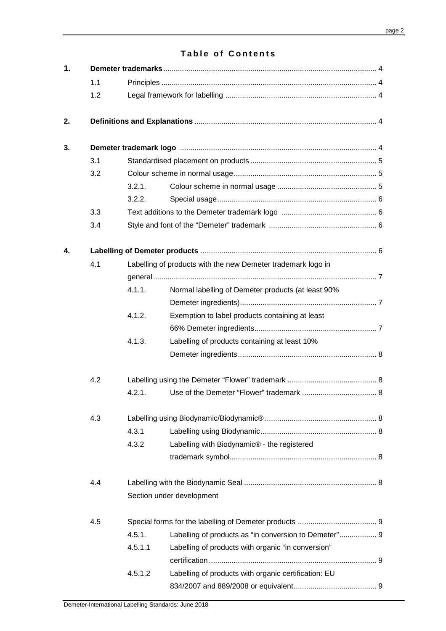# **Table of Contents**

| 1. |     |         |                                                                                                                |  |  |  |  |  |
|----|-----|---------|----------------------------------------------------------------------------------------------------------------|--|--|--|--|--|
|    | 1.1 |         |                                                                                                                |  |  |  |  |  |
|    | 1.2 |         |                                                                                                                |  |  |  |  |  |
| 2. |     |         |                                                                                                                |  |  |  |  |  |
| 3. |     |         | Demeter trademark logo manufacture and the contract of the contract of the contract of the Demeter Annufacture |  |  |  |  |  |
|    | 3.1 |         |                                                                                                                |  |  |  |  |  |
|    | 3.2 |         |                                                                                                                |  |  |  |  |  |
|    |     | 3.2.1.  |                                                                                                                |  |  |  |  |  |
|    |     | 3.2.2.  |                                                                                                                |  |  |  |  |  |
|    | 3.3 |         |                                                                                                                |  |  |  |  |  |
|    | 3.4 |         |                                                                                                                |  |  |  |  |  |
| 4. |     |         |                                                                                                                |  |  |  |  |  |
|    | 4.1 |         | Labelling of products with the new Demeter trademark logo in                                                   |  |  |  |  |  |
|    |     |         |                                                                                                                |  |  |  |  |  |
|    |     | 4.1.1.  | Normal labelling of Demeter products (at least 90%                                                             |  |  |  |  |  |
|    |     |         |                                                                                                                |  |  |  |  |  |
|    |     | 4.1.2.  | Exemption to label products containing at least                                                                |  |  |  |  |  |
|    |     |         |                                                                                                                |  |  |  |  |  |
|    |     | 4.1.3.  | Labelling of products containing at least 10%                                                                  |  |  |  |  |  |
|    |     |         |                                                                                                                |  |  |  |  |  |
|    | 4.2 |         |                                                                                                                |  |  |  |  |  |
|    |     | 4.2.1   |                                                                                                                |  |  |  |  |  |
|    | 4.3 |         |                                                                                                                |  |  |  |  |  |
|    |     | 4.3.1   |                                                                                                                |  |  |  |  |  |
|    |     | 4.3.2   | Labelling with Biodynamic® - the registered                                                                    |  |  |  |  |  |
|    |     |         |                                                                                                                |  |  |  |  |  |
|    | 4.4 |         |                                                                                                                |  |  |  |  |  |
|    |     |         | Section under development                                                                                      |  |  |  |  |  |
|    | 4.5 |         |                                                                                                                |  |  |  |  |  |
|    |     | 4.5.1.  | Labelling of products as "in conversion to Demeter" 9                                                          |  |  |  |  |  |
|    |     | 4.5.1.1 | Labelling of products with organic "in conversion"                                                             |  |  |  |  |  |
|    |     |         |                                                                                                                |  |  |  |  |  |
|    |     | 4.5.1.2 | Labelling of products with organic certification: EU                                                           |  |  |  |  |  |
|    |     |         |                                                                                                                |  |  |  |  |  |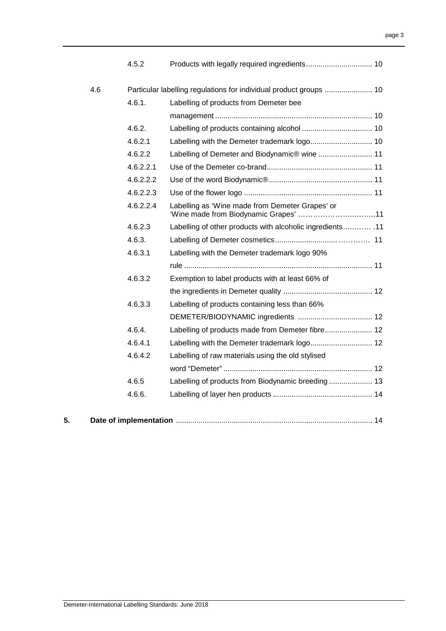|     | 4.5.2     |                                                                    |
|-----|-----------|--------------------------------------------------------------------|
| 4.6 |           | Particular labelling regulations for individual product groups  10 |
|     | 4.6.1.    | Labelling of products from Demeter bee                             |
|     |           |                                                                    |
|     | 4.6.2.    |                                                                    |
|     | 4.6.2.1   |                                                                    |
|     | 4.6.2.2   |                                                                    |
|     | 4.6.2.2.1 |                                                                    |
|     | 4.6.2.2.2 |                                                                    |
|     | 4.6.2.2.3 |                                                                    |
|     | 4.6.2.2.4 | Labelling as 'Wine made from Demeter Grapes' or                    |
|     | 4.6.2.3   | 11.  11. Labelling of other products with alcoholic ingredients 11 |
|     | 4.6.3.    |                                                                    |
|     | 4.6.3.1   | Labelling with the Demeter trademark logo 90%                      |
|     |           |                                                                    |
|     | 4.6.3.2   | Exemption to label products with at least 66% of                   |
|     |           |                                                                    |
|     | 4.6.3.3   | Labelling of products containing less than 66%                     |
|     |           |                                                                    |
|     | 4.6.4.    | Labelling of products made from Demeter fibre 12                   |
|     | 4.6.4.1   |                                                                    |
|     | 4.6.4.2   | Labelling of raw materials using the old stylised                  |
|     |           |                                                                    |
|     | 4.6.5     | Labelling of products from Biodynamic breeding 13                  |
|     | 4.6.6.    |                                                                    |
|     |           |                                                                    |

| 5. |  |  |  |  |
|----|--|--|--|--|
|----|--|--|--|--|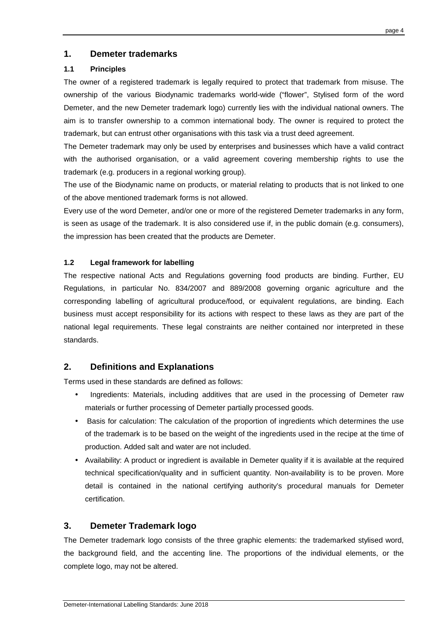# **1. Demeter trademarks**

## **1.1 Principles**

The owner of a registered trademark is legally required to protect that trademark from misuse. The ownership of the various Biodynamic trademarks world-wide ("flower", Stylised form of the word Demeter, and the new Demeter trademark logo) currently lies with the individual national owners. The aim is to transfer ownership to a common international body. The owner is required to protect the trademark, but can entrust other organisations with this task via a trust deed agreement.

The Demeter trademark may only be used by enterprises and businesses which have a valid contract with the authorised organisation, or a valid agreement covering membership rights to use the trademark (e.g. producers in a regional working group).

The use of the Biodynamic name on products, or material relating to products that is not linked to one of the above mentioned trademark forms is not allowed.

Every use of the word Demeter, and/or one or more of the registered Demeter trademarks in any form, is seen as usage of the trademark. It is also considered use if, in the public domain (e.g. consumers), the impression has been created that the products are Demeter.

## **1.2 Legal framework for labelling**

The respective national Acts and Regulations governing food products are binding. Further, EU Regulations, in particular No. 834/2007 and 889/2008 governing organic agriculture and the corresponding labelling of agricultural produce/food, or equivalent regulations, are binding. Each business must accept responsibility for its actions with respect to these laws as they are part of the national legal requirements. These legal constraints are neither contained nor interpreted in these standards.

# **2. Definitions and Explanations**

Terms used in these standards are defined as follows:

- Ingredients: Materials, including additives that are used in the processing of Demeter raw materials or further processing of Demeter partially processed goods.
- Basis for calculation: The calculation of the proportion of ingredients which determines the use of the trademark is to be based on the weight of the ingredients used in the recipe at the time of production. Added salt and water are not included.
- Availability: A product or ingredient is available in Demeter quality if it is available at the required technical specification/quality and in sufficient quantity. Non-availability is to be proven. More detail is contained in the national certifying authority's procedural manuals for Demeter certification.

# **3. Demeter Trademark logo**

The Demeter trademark logo consists of the three graphic elements: the trademarked stylised word, the background field, and the accenting line. The proportions of the individual elements, or the complete logo, may not be altered.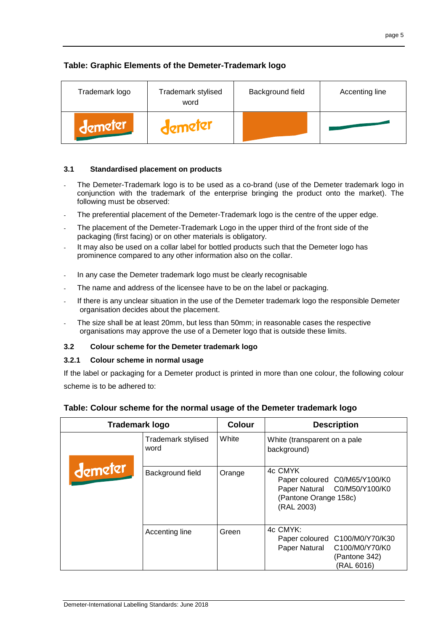# **Table: Graphic Elements of the Demeter-Trademark logo**

| Trademark logo | Trademark stylised<br>word | Background field | Accenting line |
|----------------|----------------------------|------------------|----------------|
| demeter        | demeter                    |                  |                |

# **3.1 Standardised placement on products**

- The Demeter-Trademark logo is to be used as a co-brand (use of the Demeter trademark logo in conjunction with the trademark of the enterprise bringing the product onto the market). The following must be observed:
- The preferential placement of the Demeter-Trademark logo is the centre of the upper edge.
- The placement of the Demeter-Trademark Logo in the upper third of the front side of the packaging (first facing) or on other materials is obligatory.
- It may also be used on a collar label for bottled products such that the Demeter logo has prominence compared to any other information also on the collar.
- In any case the Demeter trademark logo must be clearly recognisable
- The name and address of the licensee have to be on the label or packaging.
- If there is any unclear situation in the use of the Demeter trademark logo the responsible Demeter organisation decides about the placement.
- The size shall be at least 20mm, but less than 50mm; in reasonable cases the respective organisations may approve the use of a Demeter logo that is outside these limits.

#### **3.2 Colour scheme for the Demeter trademark logo**

#### **3.2.1 Colour scheme in normal usage**

If the label or packaging for a Demeter product is printed in more than one colour, the following colour scheme is to be adhered to:

| Trademark logo |                            | <b>Colour</b> | <b>Description</b>                                                                                              |
|----------------|----------------------------|---------------|-----------------------------------------------------------------------------------------------------------------|
|                | Trademark stylised<br>word | White         | White (transparent on a pale<br>background)                                                                     |
| demeter        | Background field           | Orange        | 4c CMYK<br>Paper coloured C0/M65/Y100/K0<br>Paper Natural C0/M50/Y100/K0<br>(Pantone Orange 158c)<br>(RAL 2003) |
|                | Accenting line             | Green         | 4c CMYK:<br>Paper coloured C100/M0/Y70/K30<br>Paper Natural C100/M0/Y70/K0<br>(Pantone 342)<br>(RAL 6016)       |

#### **Table: Colour scheme for the normal usage of the Demeter trademark logo**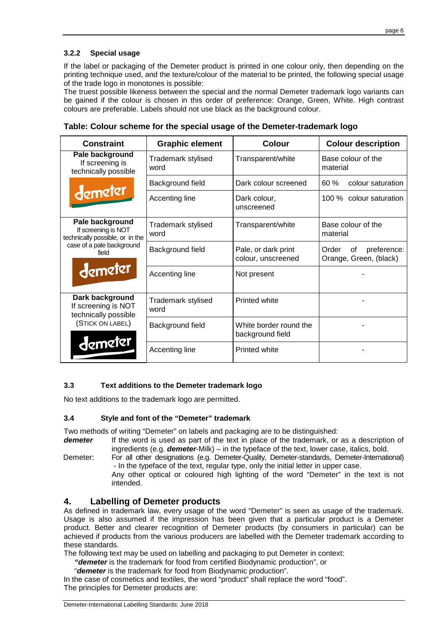# **3.2.2 Special usage**

If the label or packaging of the Demeter product is printed in one colour only, then depending on the printing technique used, and the texture/colour of the material to be printed, the following special usage of the trade logo in monotones is possible:

The truest possible likeness between the special and the normal Demeter trademark logo variants can be gained if the colour is chosen in this order of preference: Orange, Green, White. High contrast colours are preferable. Labels should not use black as the background colour.

|  |  |  |  |  |  |  | Table: Colour scheme for the special usage of the Demeter-trademark logo |  |  |
|--|--|--|--|--|--|--|--------------------------------------------------------------------------|--|--|
|--|--|--|--|--|--|--|--------------------------------------------------------------------------|--|--|

| <b>Constraint</b>                                                         | <b>Graphic element</b>     | <b>Colour</b>                              | <b>Colour description</b>                            |
|---------------------------------------------------------------------------|----------------------------|--------------------------------------------|------------------------------------------------------|
| Pale background<br>If screening is<br>technically possible                | Trademark stylised<br>word | Transparent/white                          | Base colour of the<br>material                       |
|                                                                           | Background field           | Dark colour screened                       | 60%<br>colour saturation                             |
| demeter                                                                   | Accenting line             | Dark colour,<br>unscreened                 | 100 % colour saturation                              |
| Pale background<br>If screening is NOT<br>technically possible, or in the | Trademark stylised<br>word | Transparent/white                          | Base colour of the<br>material                       |
| case of a pale background<br>field                                        | Background field           | Pale, or dark print<br>colour, unscreened  | Order<br>preference:<br>οf<br>Orange, Green, (black) |
| demeter                                                                   | Accenting line             | Not present                                |                                                      |
| Dark background<br>If screening is NOT<br>technically possible            | Trademark stylised<br>word | Printed white                              |                                                      |
| (STICK ON LABEL)                                                          | Background field           | White border round the<br>background field |                                                      |
| demeler                                                                   | Accenting line             | <b>Printed white</b>                       |                                                      |

#### **3.3 Text additions to the Demeter trademark logo**

No text additions to the trademark logo are permitted.

#### **3.4 Style and font of the "Demeter" trademark**

Two methods of writing "Demeter" on labels and packaging are to be distinguished:

- **demeter** If the word is used as part of the text in place of the trademark, or as a description of ingredients (e.g. **demeter**-Milk) – in the typeface of the text, lower case, italics, bold.
- Demeter: For all other designations (e.g. Demeter-Quality, Demeter-standards, Demeter-International) - In the typeface of the text, regular type, only the initial letter in upper case. Any other optical or coloured high lighting of the word "Demeter" in the text is not intended.

#### **4. Labelling of Demeter products**

As defined in trademark law, every usage of the word "Demeter" is seen as usage of the trademark. Usage is also assumed if the impression has been given that a particular product is a Demeter product. Better and clearer recognition of Demeter products (by consumers in particular) can be achieved if products from the various producers are labelled with the Demeter trademark according to these standards.

The following text may be used on labelling and packaging to put Demeter in context:

- **"demeter** is the trademark for food from certified Biodynamic production", or
- "**demeter** is the trademark for food from Biodynamic production".

In the case of cosmetics and textiles, the word "product" shall replace the word "food". The principles for Demeter products are: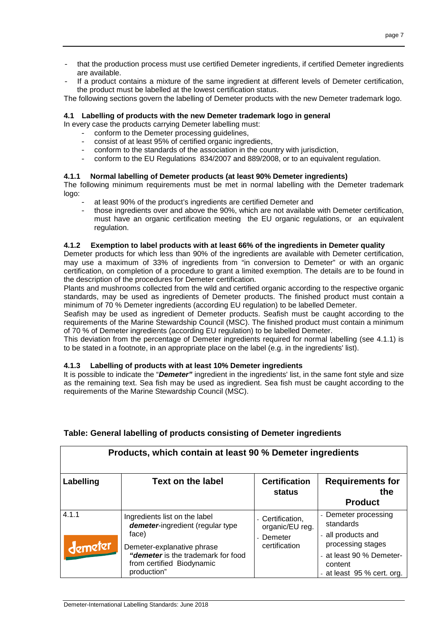- that the production process must use certified Demeter ingredients, if certified Demeter ingredients are available.
- If a product contains a mixture of the same ingredient at different levels of Demeter certification, the product must be labelled at the lowest certification status.

The following sections govern the labelling of Demeter products with the new Demeter trademark logo.

#### **4.1 Labelling of products with the new Demeter trademark logo in general**

In every case the products carrying Demeter labelling must:

- conform to the Demeter processing quidelines,
- consist of at least 95% of certified organic ingredients,
- conform to the standards of the association in the country with jurisdiction,
- conform to the EU Regulations 834/2007 and 889/2008, or to an equivalent regulation.

#### **4.1.1 Normal labelling of Demeter products (at least 90% Demeter ingredients)**

The following minimum requirements must be met in normal labelling with the Demeter trademark logo:

- at least 90% of the product's ingredients are certified Demeter and
- those ingredients over and above the 90%, which are not available with Demeter certification, must have an organic certification meeting the EU organic regulations, or an equivalent regulation.

#### **4.1.2 Exemption to label products with at least 66% of the ingredients in Demeter quality**

Demeter products for which less than 90% of the ingredients are available with Demeter certification, may use a maximum of 33% of ingredients from "in conversion to Demeter" or with an organic certification, on completion of a procedure to grant a limited exemption. The details are to be found in the description of the procedures for Demeter certification.

Plants and mushrooms collected from the wild and certified organic according to the respective organic standards, may be used as ingredients of Demeter products. The finished product must contain a minimum of 70 % Demeter ingredients (according EU regulation) to be labelled Demeter.

Seafish may be used as ingredient of Demeter products. Seafish must be caught according to the requirements of the Marine Stewardship Council (MSC). The finished product must contain a minimum of 70 % of Demeter ingredients (according EU regulation) to be labelled Demeter.

This deviation from the percentage of Demeter ingredients required for normal labelling (see 4.1.1) is to be stated in a footnote, in an appropriate place on the label (e.g. in the ingredients' list).

#### **4.1.3 Labelling of products with at least 10% Demeter ingredients**

It is possible to indicate the "**Demeter"** ingredient in the ingredients' list, in the same font style and size as the remaining text. Sea fish may be used as ingredient. Sea fish must be caught according to the requirements of the Marine Stewardship Council (MSC).

| Products, which contain at least 90 % Demeter ingredients |                                                                                                                                                                                            |                                                                 |                                                                                                                                                   |  |  |  |
|-----------------------------------------------------------|--------------------------------------------------------------------------------------------------------------------------------------------------------------------------------------------|-----------------------------------------------------------------|---------------------------------------------------------------------------------------------------------------------------------------------------|--|--|--|
| Labelling                                                 | Text on the label                                                                                                                                                                          | <b>Certification</b><br>status                                  | <b>Requirements for</b><br>the<br><b>Product</b>                                                                                                  |  |  |  |
| 4.1.1<br>demeter                                          | Ingredients list on the label<br>demeter-ingredient (regular type<br>face)<br>Demeter-explanative phrase<br>"demeter is the trademark for food<br>from certified Biodynamic<br>production" | - Certification,<br>organic/EU reg.<br>Demeter<br>certification | - Demeter processing<br>standards<br>- all products and<br>processing stages<br>- at least 90 % Demeter-<br>content<br>- at least 95 % cert. org. |  |  |  |

# **Table: General labelling of products consisting of Demeter ingredients**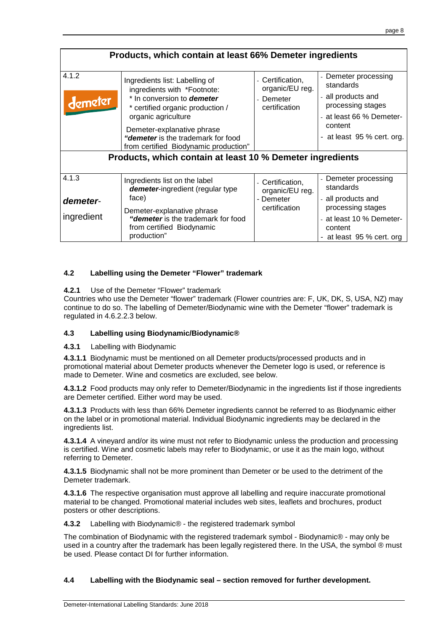| Products, which contain at least 66% Demeter ingredients |                                                                                                                                                                                                                                                                                                                                         |                                                                   |                                                                                                                                               |  |  |  |
|----------------------------------------------------------|-----------------------------------------------------------------------------------------------------------------------------------------------------------------------------------------------------------------------------------------------------------------------------------------------------------------------------------------|-------------------------------------------------------------------|-----------------------------------------------------------------------------------------------------------------------------------------------|--|--|--|
| 4.1.2<br>demeter                                         | Ingredients list: Labelling of<br>ingredients with *Footnote:<br>* In conversion to <b>demeter</b><br>* certified organic production /<br>organic agriculture<br>Demeter-explanative phrase<br>"demeter is the trademark for food<br>from certified Biodynamic production"<br>Products, which contain at least 10 % Demeter ingredients | - Certification,<br>organic/EU reg.<br>- Demeter<br>certification | Demeter processing<br>standards<br>- all products and<br>processing stages<br>at least 66 % Demeter-<br>content<br>- at least 95 % cert. org. |  |  |  |
| 4.1.3<br>demeter-<br>ingredient                          | Ingredients list on the label<br>demeter-ingredient (regular type<br>face)<br>Demeter-explanative phrase<br>"demeter is the trademark for food<br>from certified Biodynamic<br>production"                                                                                                                                              | - Certification,<br>organic/EU reg.<br>- Demeter<br>certification | - Demeter processing<br>standards<br>all products and<br>processing stages<br>at least 10 % Demeter-<br>content<br>- at least 95 % cert. org  |  |  |  |

## **4.2 Labelling using the Demeter "Flower" trademark**

#### **4.2.1** Use of the Demeter "Flower" trademark

Countries who use the Demeter "flower" trademark (Flower countries are: F, UK, DK, S, USA, NZ) may continue to do so. The labelling of Demeter/Biodynamic wine with the Demeter "flower" trademark is regulated in 4.6.2.2.3 below.

#### **4.3 Labelling using Biodynamic/Biodynamic®**

**4.3.1** Labelling with Biodynamic

**4.3.1.1** Biodynamic must be mentioned on all Demeter products/processed products and in promotional material about Demeter products whenever the Demeter logo is used, or reference is made to Demeter. Wine and cosmetics are excluded, see below.

**4.3.1.2** Food products may only refer to Demeter/Biodynamic in the ingredients list if those ingredients are Demeter certified. Either word may be used.

**4.3.1.3** Products with less than 66% Demeter ingredients cannot be referred to as Biodynamic either on the label or in promotional material. Individual Biodynamic ingredients may be declared in the ingredients list.

**4.3.1.4** A vineyard and/or its wine must not refer to Biodynamic unless the production and processing is certified. Wine and cosmetic labels may refer to Biodynamic, or use it as the main logo, without referring to Demeter.

**4.3.1.5** Biodynamic shall not be more prominent than Demeter or be used to the detriment of the Demeter trademark.

**4.3.1.6** The respective organisation must approve all labelling and require inaccurate promotional material to be changed. Promotional material includes web sites, leaflets and brochures, product posters or other descriptions.

**4.3.2** Labelling with Biodynamic® - the registered trademark symbol

The combination of Biodynamic with the registered trademark symbol - Biodynamic® - may only be used in a country after the trademark has been legally registered there. In the USA, the symbol @ must be used. Please contact DI for further information.

#### **4.4 Labelling with the Biodynamic seal – section removed for further development.**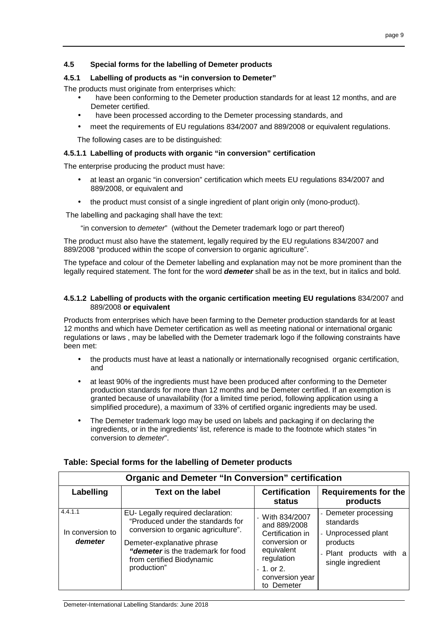# **4.5 Special forms for the labelling of Demeter products**

#### **4.5.1 Labelling of products as "in conversion to Demeter"**

The products must originate from enterprises which:

- have been conforming to the Demeter production standards for at least 12 months, and are Demeter certified.
- have been processed according to the Demeter processing standards, and
- meet the requirements of EU regulations 834/2007 and 889/2008 or equivalent regulations.

The following cases are to be distinguished:

#### **4.5.1.1 Labelling of products with organic "in conversion" certification**

The enterprise producing the product must have:

- at least an organic "in conversion" certification which meets EU regulations 834/2007 and 889/2008, or equivalent and
- the product must consist of a single ingredient of plant origin only (mono-product).

The labelling and packaging shall have the text:

"in conversion to demeter" (without the Demeter trademark logo or part thereof)

The product must also have the statement, legally required by the EU regulations 834/2007 and 889/2008 "produced within the scope of conversion to organic agriculture".

The typeface and colour of the Demeter labelling and explanation may not be more prominent than the legally required statement. The font for the word **demeter** shall be as in the text, but in italics and bold.

#### **4.5.1.2 Labelling of products with the organic certification meeting EU regulations** 834/2007 and 889/2008 **or equivalent**

Products from enterprises which have been farming to the Demeter production standards for at least 12 months and which have Demeter certification as well as meeting national or international organic regulations or laws , may be labelled with the Demeter trademark logo if the following constraints have been met:

- the products must have at least a nationally or internationally recognised organic certification, and
- at least 90% of the ingredients must have been produced after conforming to the Demeter production standards for more than 12 months and be Demeter certified. If an exemption is granted because of unavailability (for a limited time period, following application using a simplified procedure), a maximum of 33% of certified organic ingredients may be used.
- The Demeter trademark logo may be used on labels and packaging if on declaring the ingredients, or in the ingredients' list, reference is made to the footnote which states "in conversion to demeter".

| <b>Organic and Demeter "In Conversion" certification</b> |                                                                                                                                                                                                                               |                                                                                                                                                    |                                                                                                                      |  |  |  |
|----------------------------------------------------------|-------------------------------------------------------------------------------------------------------------------------------------------------------------------------------------------------------------------------------|----------------------------------------------------------------------------------------------------------------------------------------------------|----------------------------------------------------------------------------------------------------------------------|--|--|--|
| Labelling                                                | <b>Text on the label</b>                                                                                                                                                                                                      | <b>Certification</b><br>status                                                                                                                     | <b>Requirements for the</b><br>products                                                                              |  |  |  |
| 4.4.1.1<br>In conversion to<br>demeter                   | EU- Legally required declaration:<br>"Produced under the standards for<br>conversion to organic agriculture".<br>Demeter-explanative phrase<br>"demeter is the trademark for food<br>from certified Biodynamic<br>production" | - With $834/2007$<br>and 889/2008<br>Certification in<br>conversion or<br>equivalent<br>regulation<br>$-1.$ or 2.<br>conversion year<br>to Demeter | - Demeter processing<br>standards<br>- Unprocessed plant<br>products<br>- Plant products with a<br>single ingredient |  |  |  |

# **Table: Special forms for the labelling of Demeter products**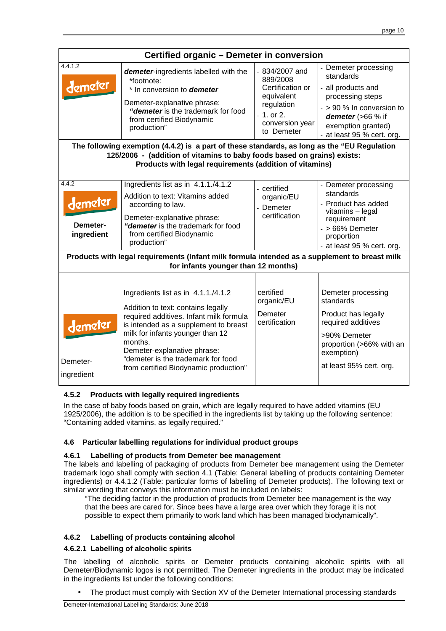| Certified organic - Demeter in conversion                                                                                                                                                                                         |                                                                                                                                                                                                                                                                                                                            |                                                                                                                             |                                                                                                                                                                                 |  |  |  |
|-----------------------------------------------------------------------------------------------------------------------------------------------------------------------------------------------------------------------------------|----------------------------------------------------------------------------------------------------------------------------------------------------------------------------------------------------------------------------------------------------------------------------------------------------------------------------|-----------------------------------------------------------------------------------------------------------------------------|---------------------------------------------------------------------------------------------------------------------------------------------------------------------------------|--|--|--|
| 4.4.1.2<br>demeter                                                                                                                                                                                                                | <b>demeter-</b> ingredients labelled with the<br>*footnote:<br>* In conversion to <b>demeter</b><br>Demeter-explanative phrase:<br>"demeter is the trademark for food<br>from certified Biodynamic<br>production"                                                                                                          | $-834/2007$ and<br>889/2008<br>Certification or<br>equivalent<br>regulation<br>$-1.$ or 2.<br>conversion year<br>to Demeter | Demeter processing<br>standards<br>- all products and<br>processing steps<br>- > 90 % In conversion to<br>demeter (>66 % if<br>exemption granted)<br>- at least 95 % cert. org. |  |  |  |
| The following exemption (4.4.2) is a part of these standards, as long as the "EU Regulation<br>125/2006 - (addition of vitamins to baby foods based on grains) exists:<br>Products with legal requirements (addition of vitamins) |                                                                                                                                                                                                                                                                                                                            |                                                                                                                             |                                                                                                                                                                                 |  |  |  |
| 4.4.2<br>demeter<br>Demeter-<br>ingredient                                                                                                                                                                                        | Ingredients list as in 4.1.1./4.1.2<br>Addition to text: Vitamins added<br>according to law.<br>Demeter-explanative phrase:<br>"demeter is the trademark for food<br>from certified Biodynamic<br>production"                                                                                                              | - certified<br>organic/EU<br>- Demeter<br>certification                                                                     | - Demeter processing<br>standards<br>- Product has added<br>vitamins - legal<br>requirement<br>$-$ > 66% Demeter<br>proportion<br>- at least 95 % cert. org.                    |  |  |  |
|                                                                                                                                                                                                                                   | Products with legal requirements (Infant milk formula intended as a supplement to breast milk<br>for infants younger than 12 months)                                                                                                                                                                                       |                                                                                                                             |                                                                                                                                                                                 |  |  |  |
| demeter<br>Demeter-<br>ingredient                                                                                                                                                                                                 | Ingredients list as in 4.1.1./4.1.2<br>Addition to text: contains legally<br>required additives. Infant milk formula<br>is intended as a supplement to breast<br>milk for infants younger than 12<br>months.<br>Demeter-explanative phrase:<br>"demeter is the trademark for food<br>from certified Biodynamic production" | certified<br>organic/EU<br>Demeter<br>certification                                                                         | Demeter processing<br>standards<br>Product has legally<br>required additives<br>>90% Demeter<br>proportion (>66% with an<br>exemption)<br>at least 95% cert. org.               |  |  |  |

# **4.5.2 Products with legally required ingredients**

In the case of baby foods based on grain, which are legally required to have added vitamins (EU 1925/2006), the addition is to be specified in the ingredients list by taking up the following sentence: "Containing added vitamins, as legally required."

# **4.6 Particular labelling regulations for individual product groups**

#### **4.6.1 Labelling of products from Demeter bee management**

The labels and labelling of packaging of products from Demeter bee management using the Demeter trademark logo shall comply with section 4.1 (Table: General labelling of products containing Demeter ingredients) or 4.4.1.2 (Table: particular forms of labelling of Demeter products). The following text or similar wording that conveys this information must be included on labels:

"The deciding factor in the production of products from Demeter bee management is the way that the bees are cared for. Since bees have a large area over which they forage it is not possible to expect them primarily to work land which has been managed biodynamically".

# **4.6.2 Labelling of products containing alcohol**

#### **4.6.2.1 Labelling of alcoholic spirits**

The labelling of alcoholic spirits or Demeter products containing alcoholic spirits with all Demeter/Biodynamic logos is not permitted. The Demeter ingredients in the product may be indicated in the ingredients list under the following conditions:

• The product must comply with Section XV of the Demeter International processing standards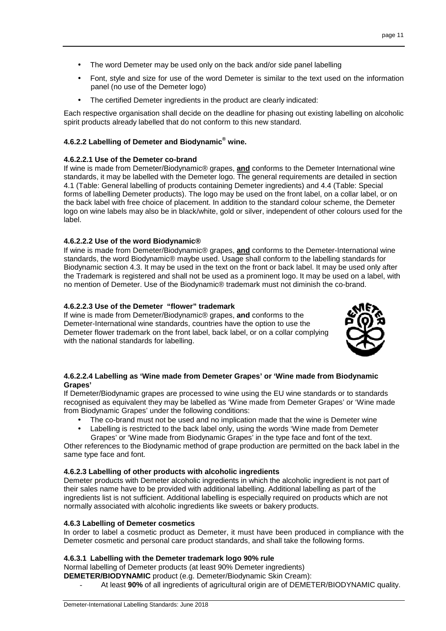- The word Demeter may be used only on the back and/or side panel labelling
- Font, style and size for use of the word Demeter is similar to the text used on the information panel (no use of the Demeter logo)
- The certified Demeter ingredients in the product are clearly indicated:

Each respective organisation shall decide on the deadline for phasing out existing labelling on alcoholic spirit products already labelled that do not conform to this new standard.

#### **4.6.2.2 Labelling of Demeter and Biodynamic® wine.**

#### **4.6.2.2.1 Use of the Demeter co-brand**

If wine is made from Demeter/Biodynamic® grapes, **and** conforms to the Demeter International wine standards, it may be labelled with the Demeter logo. The general requirements are detailed in section 4.1 (Table: General labelling of products containing Demeter ingredients) and 4.4 (Table: Special forms of labelling Demeter products). The logo may be used on the front label, on a collar label, or on the back label with free choice of placement. In addition to the standard colour scheme, the Demeter logo on wine labels may also be in black/white, gold or silver, independent of other colours used for the label.

## **4.6.2.2.2 Use of the word Biodynamic®**

If wine is made from Demeter/Biodynamic® grapes, **and** conforms to the Demeter-International wine standards, the word Biodynamic® maybe used. Usage shall conform to the labelling standards for Biodynamic section 4.3. It may be used in the text on the front or back label. It may be used only after the Trademark is registered and shall not be used as a prominent logo. It may be used on a label, with no mention of Demeter. Use of the Biodynamic® trademark must not diminish the co-brand.

#### **4.6.2.2.3 Use of the Demeter "flower" trademark**

If wine is made from Demeter/Biodynamic® grapes, **and** conforms to the Demeter-International wine standards, countries have the option to use the Demeter flower trademark on the front label, back label, or on a collar complying with the national standards for labelling.



#### **4.6.2.2.4 Labelling as 'Wine made from Demeter Grapes' or 'Wine made from Biodynamic Grapes'**

If Demeter/Biodynamic grapes are processed to wine using the EU wine standards or to standards recognised as equivalent they may be labelled as 'Wine made from Demeter Grapes' or 'Wine made from Biodynamic Grapes' under the following conditions:

- The co-brand must not be used and no implication made that the wine is Demeter wine
- Labelling is restricted to the back label only, using the words 'Wine made from Demeter Grapes' or 'Wine made from Biodynamic Grapes' in the type face and font of the text.

Other references to the Biodynamic method of grape production are permitted on the back label in the same type face and font.

#### **4.6.2.3 Labelling of other products with alcoholic ingredients**

Demeter products with Demeter alcoholic ingredients in which the alcoholic ingredient is not part of their sales name have to be provided with additional labelling. Additional labelling as part of the ingredients list is not sufficient. Additional labelling is especially required on products which are not normally associated with alcoholic ingredients like sweets or bakery products.

#### **4.6.3 Labelling of Demeter cosmetics**

In order to label a cosmetic product as Demeter, it must have been produced in compliance with the Demeter cosmetic and personal care product standards, and shall take the following forms.

#### **4.6.3.1 Labelling with the Demeter trademark logo 90% rule**

Normal labelling of Demeter products (at least 90% Demeter ingredients)

**DEMETER/BIODYNAMIC** product (e.g. Demeter/Biodynamic Skin Cream):

- At least **90%** of all ingredients of agricultural origin are of DEMETER/BIODYNAMIC quality.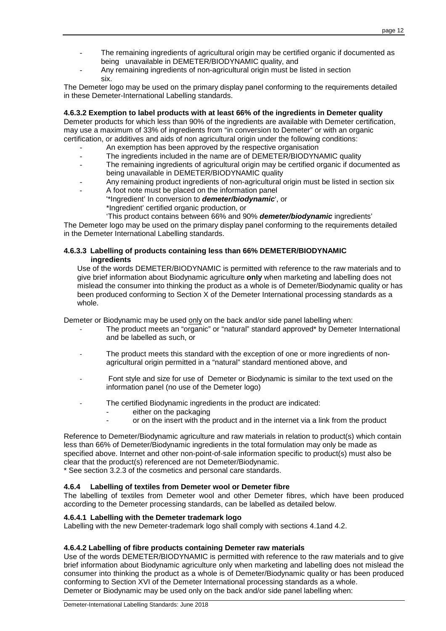- The remaining ingredients of agricultural origin may be certified organic if documented as being unavailable in DEMETER/BIODYNAMIC quality, and
- Any remaining ingredients of non-agricultural origin must be listed in section six.

The Demeter logo may be used on the primary display panel conforming to the requirements detailed in these Demeter-International Labelling standards.

#### **4.6.3.2 Exemption to label products with at least 66% of the ingredients in Demeter quality**

Demeter products for which less than 90% of the ingredients are available with Demeter certification, may use a maximum of 33% of ingredients from "in conversion to Demeter" or with an organic certification, or additives and aids of non agricultural origin under the following conditions:

- An exemption has been approved by the respective organisation
- The ingredients included in the name are of DEMETER/BIODYNAMIC quality
- The remaining ingredients of agricultural origin may be certified organic if documented as being unavailable in DEMETER/BIODYNAMIC quality
- Any remaining product ingredients of non-agricultural origin must be listed in section six
- A foot note must be placed on the information panel
	- '\*Ingredient' In conversion to **demeter/biodynamic**', or \*Ingredient' certified organic production, or
		- 'This product contains between 66% and 90% **demeter/biodynamic** ingredients'

The Demeter logo may be used on the primary display panel conforming to the requirements detailed in the Demeter International Labelling standards.

#### **4.6.3.3 Labelling of products containing less than 66% DEMETER/BIODYNAMIC ingredients**

Use of the words DEMETER/BIODYNAMIC is permitted with reference to the raw materials and to give brief information about Biodynamic agriculture **only** when marketing and labelling does not mislead the consumer into thinking the product as a whole is of Demeter/Biodynamic quality or has been produced conforming to Section X of the Demeter International processing standards as a whole.

Demeter or Biodynamic may be used only on the back and/or side panel labelling when:

- The product meets an "organic" or "natural" standard approved\* by Demeter International and be labelled as such, or
- The product meets this standard with the exception of one or more ingredients of nonagricultural origin permitted in a "natural" standard mentioned above, and
- Font style and size for use of Demeter or Biodynamic is similar to the text used on the information panel (no use of the Demeter logo)
- The certified Biodynamic ingredients in the product are indicated:
	- either on the packaging
	- or on the insert with the product and in the internet via a link from the product

Reference to Demeter/Biodynamic agriculture and raw materials in relation to product(s) which contain less than 66% of Demeter/Biodynamic ingredients in the total formulation may only be made as specified above. Internet and other non-point-of-sale information specific to product(s) must also be clear that the product(s) referenced are not Demeter/Biodynamic.

\* See section 3.2.3 of the cosmetics and personal care standards.

#### **4.6.4 Labelling of textiles from Demeter wool or Demeter fibre**

The labelling of textiles from Demeter wool and other Demeter fibres, which have been produced according to the Demeter processing standards, can be labelled as detailed below.

#### **4.6.4.1 Labelling with the Demeter trademark logo**

Labelling with the new Demeter-trademark logo shall comply with sections 4.1and 4.2.

#### **4.6.4.2 Labelling of fibre products containing Demeter raw materials**

Use of the words DEMETER/BIODYNAMIC is permitted with reference to the raw materials and to give brief information about Biodynamic agriculture only when marketing and labelling does not mislead the consumer into thinking the product as a whole is of Demeter/Biodynamic quality or has been produced conforming to Section XVI of the Demeter International processing standards as a whole. Demeter or Biodynamic may be used only on the back and/or side panel labelling when: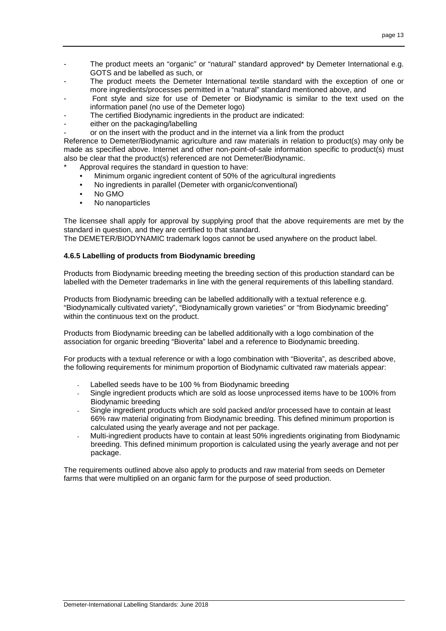- The product meets an "organic" or "natural" standard approved\* by Demeter International e.g. GOTS and be labelled as such, or
- The product meets the Demeter International textile standard with the exception of one or more ingredients/processes permitted in a "natural" standard mentioned above, and
- Font style and size for use of Demeter or Biodynamic is similar to the text used on the information panel (no use of the Demeter logo)
- The certified Biodynamic ingredients in the product are indicated:
- either on the packaging/labelling
	- or on the insert with the product and in the internet via a link from the product

Reference to Demeter/Biodynamic agriculture and raw materials in relation to product(s) may only be made as specified above. Internet and other non-point-of-sale information specific to product(s) must also be clear that the product(s) referenced are not Demeter/Biodynamic.

- Approval requires the standard in question to have:
	- Minimum organic ingredient content of 50% of the agricultural ingredients
	- No ingredients in parallel (Demeter with organic/conventional)
	- No GMO
	- No nanoparticles

The licensee shall apply for approval by supplying proof that the above requirements are met by the standard in question, and they are certified to that standard.

The DEMETER/BIODYNAMIC trademark logos cannot be used anywhere on the product label.

#### **4.6.5 Labelling of products from Biodynamic breeding**

Products from Biodynamic breeding meeting the breeding section of this production standard can be labelled with the Demeter trademarks in line with the general requirements of this labelling standard.

Products from Biodynamic breeding can be labelled additionally with a textual reference e.g. "Biodynamically cultivated variety", "Biodynamically grown varieties" or "from Biodynamic breeding" within the continuous text on the product.

Products from Biodynamic breeding can be labelled additionally with a logo combination of the association for organic breeding "Bioverita" label and a reference to Biodynamic breeding.

For products with a textual reference or with a logo combination with "Bioverita", as described above, the following requirements for minimum proportion of Biodynamic cultivated raw materials appear:

- Labelled seeds have to be 100 % from Biodynamic breeding
- Single ingredient products which are sold as loose unprocessed items have to be 100% from Biodynamic breeding
- Single ingredient products which are sold packed and/or processed have to contain at least 66% raw material originating from Biodynamic breeding. This defined minimum proportion is calculated using the yearly average and not per package.
- Multi-ingredient products have to contain at least 50% ingredients originating from Biodynamic breeding. This defined minimum proportion is calculated using the yearly average and not per package.

The requirements outlined above also apply to products and raw material from seeds on Demeter farms that were multiplied on an organic farm for the purpose of seed production.